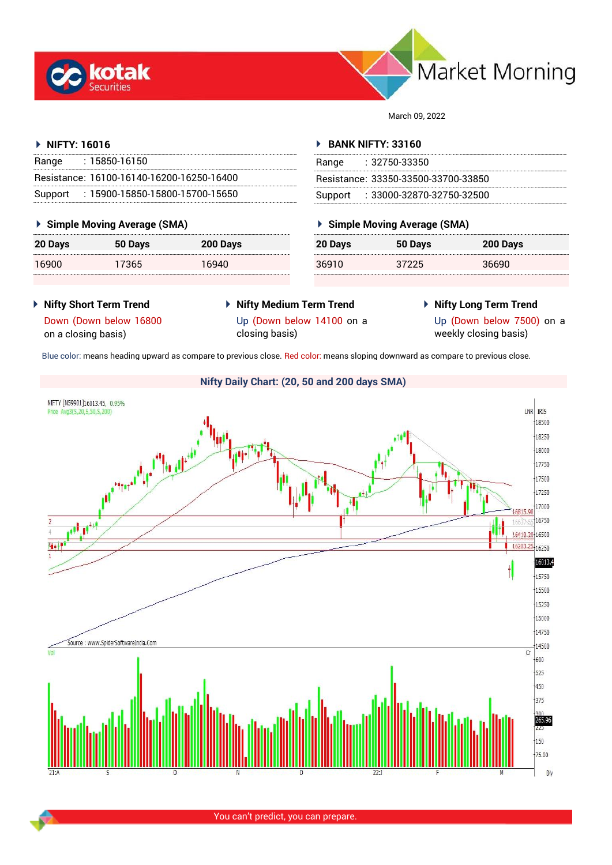



March 09, 2022

# **NIFTY: 16016**

| Range | : 15850-16150                             |
|-------|-------------------------------------------|
|       | Resistance: 16100-16140-16200-16250-16400 |
|       | Support: 15900-15850-15800-15700-15650    |

# **Simple Moving Average (SMA)**

| 20 Days | 50 Days | 200 Days |
|---------|---------|----------|
| 16900   | 17365   | 16940    |

# **BANK NIFTY: 33160**

| Range | : 32750-33350                       |
|-------|-------------------------------------|
|       | Resistance: 33350-33500-33700-33850 |
|       | Support: : 33000-32870-32750-32500  |

# **Simple Moving Average (SMA)**

| 20 Days | 50 Days | 200 Days |
|---------|---------|----------|
| 36910   | 37225   | 36690    |

- **Nifty Short Term Trend**
- **Nifty Medium Term Trend** Up (Down below 14100 on a closing basis)
- **Nifty Long Term Trend**

Down (Down below 16800 on a closing basis)

Up (Down below 7500) on a weekly closing basis)

Blue color: means heading upward as compare to previous close. Red color: means sloping downward as compare to previous close.



You can't predict, you can prepare.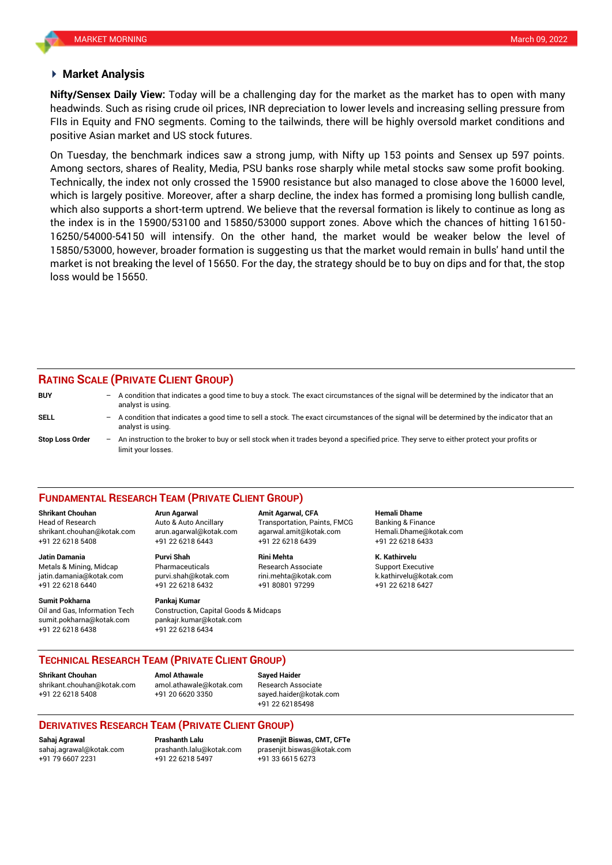## **Market Analysis**

headwinds. Such as rising crude oil prices, INR depreciation to lower levels and increasing selling pressure from **Nifty/Sensex Daily View:** Today will be a challenging day for the market as the market has to open with many FIIs in Equity and FNO segments. Coming to the tailwinds, there will be highly oversold market conditions and positive Asian market and US stock futures.

On Tuesday, the benchmark indices saw a strong jump, with Nifty up 153 points and Sensex up 597 points. Among sectors, shares of Reality, Media, PSU banks rose sharply while metal stocks saw some profit booking. Technically, the index not only crossed the 15900 resistance but also managed to close above the 16000 level, which is largely positive. Moreover, after a sharp decline, the index has formed a promising long bullish candle, which also supports a short-term uptrend. We believe that the reversal formation is likely to continue as long as the index is in the 15900/53100 and 15850/53000 support zones. Above which the chances of hitting 16150- 16250/54000-54150 will intensify. On the other hand, the market would be weaker below the level of 15850/53000, however, broader formation is suggesting us that the market would remain in bulls' hand until the market is not breaking the level of 15650. For the day, the strategy should be to buy on dips and for that, the stop loss would be 15650.

### **RATING SCALE (PRIVATE CLIENT GROUP)**

limit your losses.

**BUY** – A condition that indicates a good time to buy a stock. The exact circumstances of the signal will be determined by the indicator that an analyst is using. **SELL** – A condition that indicates a good time to sell a stock. The exact circumstances of the signal will be determined by the indicator that an analyst is using. **Stop Loss Order** – An instruction to the broker to buy or sell stock when it trades beyond a specified price. They serve to either protect your profits or

## **FUNDAMENTAL RESEARCH TEAM (PRIVATE CLIENT GROUP)**

Head of Research Auto & Auto Ancillary Transportation, Paints, FMCG Banking & Finance [shrikant.chouhan@kotak.com](mailto:shrikant.chouhan@kotak.com) arun.agarwal@kotak.com agarwal.amit@kotak.com Hemali.Dhame@kotak.com

**Jatin Damania Purvi Shah Rini Mehta K. Kathirvelu** Metals & Mining, Midcap Pharmaceuticals Research Associate Support Executive jatin.damania@kotak.com [purvi.shah@kotak.com](mailto:purvi.shah@kotak.com) rini.mehta@kotak.com [k.kathirvelu@kotak.com](mailto:k.kathirvelu@kotak.com) +91 22 6218 6440 +91 22 6218 6432 +91 80801 97299 +91 22 6218 6427

**Sumit Pokharna Pankaj Kumar**

Oil and Gas, Information Tech Construction, Capital Goods & Midcaps sumit.pokharna@kotak.com pankajr.kumar@kotak.com +91 22 6218 6438 +91 22 6218 6434

+91 22 6218 5408 +91 22 6218 6443 +91 22 6218 6439 +91 22 6218 6433

**Shrikant Chouhan Arun Agarwal Amit Agarwal, CFA Hemali Dhame**

**TECHNICAL RESEARCH TEAM (PRIVATE CLIENT GROUP)**

[shrikant.chouhan@kotak.com](mailto:shrikant.chouhan@kotak.com) [amol.athawale@kotak.com](mailto:amol.athawale@kotak.com) Research Associate +91 22 6218 5408 +91 20 6620 3350 [sayed.haider@kotak.com](mailto:sayed.haider@kotak.com)

**Shrikant Chouhan**<br>**Amol Athawale Athawale Chomes and athawale @kotak com Besearch Ass** 

+91 22 62185498

# **DERIVATIVES RESEARCH TEAM (PRIVATE CLIENT GROUP)**

+91 79 6607 2231 +91 22 6218 5497 +91 33 6615 6273

**Sahaj Agrawal Prashanth Lalu Prasenjit Biswas, CMT, CFTe** [sahaj.agrawal@kotak.com](mailto:sahaj.agrawal@kotak.com) [prashanth.lalu@kotak.com](mailto:prashanth.lalu@kotak.com) [prasenjit.biswas@kotak.com](mailto:prasenjit.biswas@kotak.com)